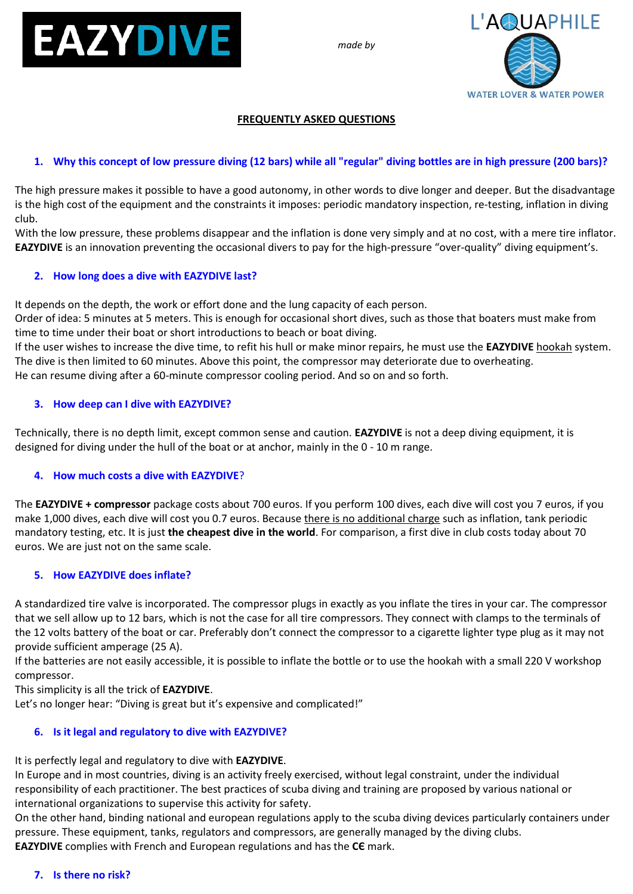

*made by*



# **FREQUENTLY ASKED QUESTIONS**

# **1. Why this concept of low pressure diving (12 bars) while all "regular" diving bottles are in high pressure (200 bars)?**

The high pressure makes it possible to have a good autonomy, in other words to dive longer and deeper. But the disadvantage is the high cost of the equipment and the constraints it imposes: periodic mandatory inspection, re-testing, inflation in diving club.

With the low pressure, these problems disappear and the inflation is done very simply and at no cost, with a mere tire inflator. **EAZYDIVE** is an innovation preventing the occasional divers to pay for the high-pressure "over-quality" diving equipment's.

# **2. How long does a dive with EAZYDIVE last?**

It depends on the depth, the work or effort done and the lung capacity of each person.

Order of idea: 5 minutes at 5 meters. This is enough for occasional short dives, such as those that boaters must make from time to time under their boat or short introductions to beach or boat diving.

If the user wishes to increase the dive time, to refit his hull or make minor repairs, he must use the **EAZYDIVE** hookah system. The dive is then limited to 60 minutes. Above this point, the compressor may deteriorate due to overheating. He can resume diving after a 60-minute compressor cooling period. And so on and so forth.

# **3. How deep can I dive with EAZYDIVE?**

Technically, there is no depth limit, except common sense and caution. **EAZYDIVE** is not a deep diving equipment, it is designed for diving under the hull of the boat or at anchor, mainly in the 0 - 10 m range.

### **4. How much costs a dive with EAZYDIVE**?

The **EAZYDIVE + compressor** package costs about 700 euros. If you perform 100 dives, each dive will cost you 7 euros, if you make 1,000 dives, each dive will cost you 0.7 euros. Because there is no additional charge such as inflation, tank periodic mandatory testing, etc. It is just **the cheapest dive in the world**. For comparison, a first dive in club costs today about 70 euros. We are just not on the same scale.

### **5. How EAZYDIVE does inflate?**

A standardized tire valve is incorporated. The compressor plugs in exactly as you inflate the tires in your car. The compressor that we sell allow up to 12 bars, which is not the case for all tire compressors. They connect with clamps to the terminals of the 12 volts battery of the boat or car. Preferably don't connect the compressor to a cigarette lighter type plug as it may not provide sufficient amperage (25 A).

If the batteries are not easily accessible, it is possible to inflate the bottle or to use the hookah with a small 220 V workshop compressor.

This simplicity is all the trick of **EAZYDIVE**.

Let's no longer hear: "Diving is great but it's expensive and complicated!"

# **6. Is it legal and regulatory to dive with EAZYDIVE?**

It is perfectly legal and regulatory to dive with **EAZYDIVE**.

In Europe and in most countries, diving is an activity freely exercised, without legal constraint, under the individual responsibility of each practitioner. The best practices of scuba diving and training are proposed by various national or international organizations to supervise this activity for safety.

On the other hand, binding national and european regulations apply to the scuba diving devices particularly containers under pressure. These equipment, tanks, regulators and compressors, are generally managed by the diving clubs. **EAZYDIVE** complies with French and European regulations and has the **CЄ** mark.

### **7. Is there no risk?**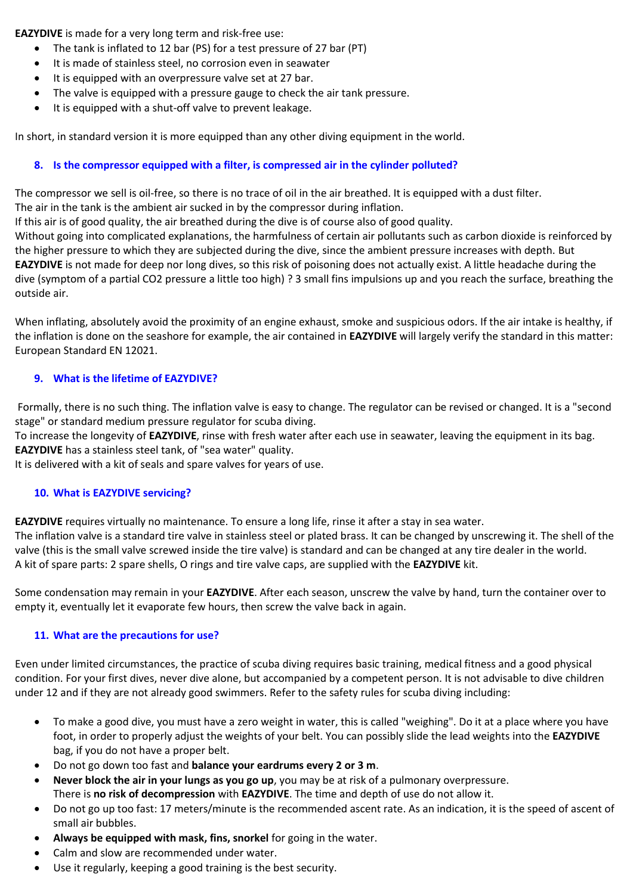**EAZYDIVE** is made for a very long term and risk-free use:

- The tank is inflated to 12 bar (PS) for a test pressure of 27 bar (PT)
- It is made of stainless steel, no corrosion even in seawater
- It is equipped with an overpressure valve set at 27 bar.
- The valve is equipped with a pressure gauge to check the air tank pressure.
- It is equipped with a shut-off valve to prevent leakage.

In short, in standard version it is more equipped than any other diving equipment in the world.

# **8. Is the compressor equipped with a filter, is compressed air in the cylinder polluted?**

The compressor we sell is oil-free, so there is no trace of oil in the air breathed. It is equipped with a dust filter.

The air in the tank is the ambient air sucked in by the compressor during inflation.

If this air is of good quality, the air breathed during the dive is of course also of good quality.

Without going into complicated explanations, the harmfulness of certain air pollutants such as carbon dioxide is reinforced by the higher pressure to which they are subjected during the dive, since the ambient pressure increases with depth. But **EAZYDIVE** is not made for deep nor long dives, so this risk of poisoning does not actually exist. A little headache during the dive (symptom of a partial CO2 pressure a little too high) ? 3 small fins impulsions up and you reach the surface, breathing the outside air.

When inflating, absolutely avoid the proximity of an engine exhaust, smoke and suspicious odors. If the air intake is healthy, if the inflation is done on the seashore for example, the air contained in **EAZYDIVE** will largely verify the standard in this matter: European Standard EN 12021.

# **9. What is the lifetime of EAZYDIVE?**

Formally, there is no such thing. The inflation valve is easy to change. The regulator can be revised or changed. It is a "second stage" or standard medium pressure regulator for scuba diving.

To increase the longevity of **EAZYDIVE**, rinse with fresh water after each use in seawater, leaving the equipment in its bag. **EAZYDIVE** has a stainless steel tank, of "sea water" quality.

It is delivered with a kit of seals and spare valves for years of use.

### **10. What is EAZYDIVE servicing?**

**EAZYDIVE** requires virtually no maintenance. To ensure a long life, rinse it after a stay in sea water.

The inflation valve is a standard tire valve in stainless steel or plated brass. It can be changed by unscrewing it. The shell of the valve (this is the small valve screwed inside the tire valve) is standard and can be changed at any tire dealer in the world. A kit of spare parts: 2 spare shells, O rings and tire valve caps, are supplied with the **EAZYDIVE** kit.

Some condensation may remain in your **EAZYDIVE**. After each season, unscrew the valve by hand, turn the container over to empty it, eventually let it evaporate few hours, then screw the valve back in again.

### **11. What are the precautions for use?**

Even under limited circumstances, the practice of scuba diving requires basic training, medical fitness and a good physical condition. For your first dives, never dive alone, but accompanied by a competent person. It is not advisable to dive children under 12 and if they are not already good swimmers. Refer to the safety rules for scuba diving including:

- To make a good dive, you must have a zero weight in water, this is called "weighing". Do it at a place where you have foot, in order to properly adjust the weights of your belt. You can possibly slide the lead weights into the **EAZYDIVE** bag, if you do not have a proper belt.
- Do not go down too fast and **balance your eardrums every 2 or 3 m**.
- **Never block the air in your lungs as you go up**, you may be at risk of a pulmonary overpressure. There is **no risk of decompression** with **EAZYDIVE**. The time and depth of use do not allow it.
- Do not go up too fast: 17 meters/minute is the recommended ascent rate. As an indication, it is the speed of ascent of small air bubbles.
- **Always be equipped with mask, fins, snorkel** for going in the water.
- Calm and slow are recommended under water.
- Use it regularly, keeping a good training is the best security.